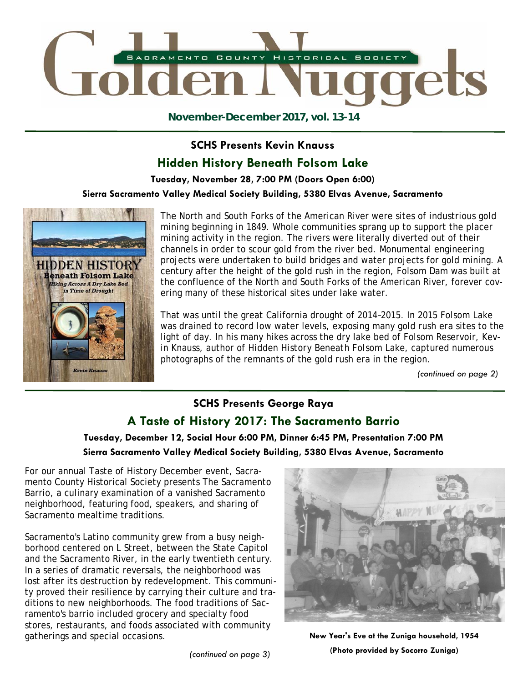

**November-December 2017, vol. 13-14** 

#### **SCHS Presents Kevin Knauss**

## **Hidden History Beneath Folsom Lake**

**Tuesday, November 28, 7:00 PM (Doors Open 6:00)** 

**Sierra Sacramento Valley Medical Society Building, 5380 Elvas Avenue, Sacramento** 



The North and South Forks of the American River were sites of industrious gold mining beginning in 1849. Whole communities sprang up to support the placer mining activity in the region. The rivers were literally diverted out of their channels in order to scour gold from the river bed. Monumental engineering projects were undertaken to build bridges and water projects for gold mining. A century after the height of the gold rush in the region, Folsom Dam was built at the confluence of the North and South Forks of the American River, forever covering many of these historical sites under lake water.

That was until the great California drought of 2014–2015. In 2015 Folsom Lake was drained to record low water levels, exposing many gold rush era sites to the light of day. In his many hikes across the dry lake bed of Folsom Reservoir, Kevin Knauss, author of *Hidden History Beneath Folsom Lake*, captured numerous photographs of the remnants of the gold rush era in the region.

*(continued on page 2)* 

## **SCHS Presents George Raya A Taste of History 2017: The Sacramento Barrio**

**Tuesday, December 12, Social Hour 6:00 PM, Dinner 6:45 PM, Presentation 7:00 PM Sierra Sacramento Valley Medical Society Building, 5380 Elvas Avenue, Sacramento** 

For our annual Taste of History December event, Sacramento County Historical Society presents The Sacramento Barrio, a culinary examination of a vanished Sacramento neighborhood, featuring food, speakers, and sharing of Sacramento mealtime traditions.

Sacramento's Latino community grew from a busy neighborhood centered on L Street, between the State Capitol and the Sacramento River, in the early twentieth century. In a series of dramatic reversals, the neighborhood was lost after its destruction by redevelopment. This community proved their resilience by carrying their culture and traditions to new neighborhoods. The food traditions of Sacramento's barrio included grocery and specialty food stores, restaurants, and foods associated with community gatherings and special occasions. **New Year's Eve at the Zuniga household, 1954** 



**(Photo provided by Socorro Zuniga)**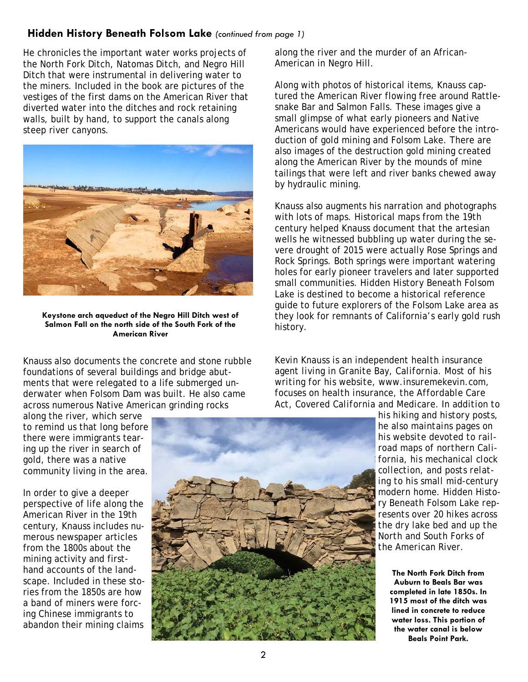#### **Hidden History Beneath Folsom Lake** *(continued from page 1)*

He chronicles the important water works projects of the North Fork Ditch, Natomas Ditch, and Negro Hill Ditch that were instrumental in delivering water to the miners. Included in the book are pictures of the vestiges of the first dams on the American River that diverted water into the ditches and rock retaining walls, built by hand, to support the canals along steep river canyons.



**Keystone arch aqueduct of the Negro Hill Ditch west of Salmon Fall on the north side of the South Fork of the American River** 

Knauss also documents the concrete and stone rubble foundations of several buildings and bridge abutments that were relegated to a life submerged underwater when Folsom Dam was built. He also came across numerous Native American grinding rocks

along the river, which serve to remind us that long before there were immigrants tearing up the river in search of gold, there was a native community living in the area.

In order to give a deeper perspective of life along the American River in the 19th century, Knauss includes numerous newspaper articles from the 1800s about the mining activity and firsthand accounts of the landscape. Included in these stories from the 1850s are how a band of miners were forcing Chinese immigrants to abandon their mining claims



along the river and the murder of an African-American in Negro Hill.

Along with photos of historical items, Knauss captured the American River flowing free around Rattlesnake Bar and Salmon Falls. These images give a small glimpse of what early pioneers and Native Americans would have experienced before the introduction of gold mining and Folsom Lake. There are also images of the destruction gold mining created along the American River by the mounds of mine tailings that were left and river banks chewed away by hydraulic mining.

Knauss also augments his narration and photographs with lots of maps. Historical maps from the 19th century helped Knauss document that the artesian wells he witnessed bubbling up water during the severe drought of 2015 were actually Rose Springs and Rock Springs. Both springs were important watering holes for early pioneer travelers and later supported small communities. *Hidden History Beneath Folsom Lake* is destined to become a historical reference guide to future explorers of the Folsom Lake area as they look for remnants of California's early gold rush history.

*Kevin Knauss is an independent health insurance agent living in Granite Bay, California. Most of his writing for his website, www.insuremekevin.com, focuses on health insurance, the Affordable Care Act, Covered California and Medicare. In addition to* 

*his hiking and history posts, he also maintains pages on his website devoted to railroad maps of northern California, his mechanical clock collection, and posts relating to his small mid-century modern home.* Hidden History Beneath Folsom Lake *represents over 20 hikes across the dry lake bed and up the North and South Forks of the American River.* 

**The North Fork Ditch from Auburn to Beals Bar was completed in late 1850s. In 1915 most of the ditch was lined in concrete to reduce water loss. This portion of the water canal is below Beals Point Park.**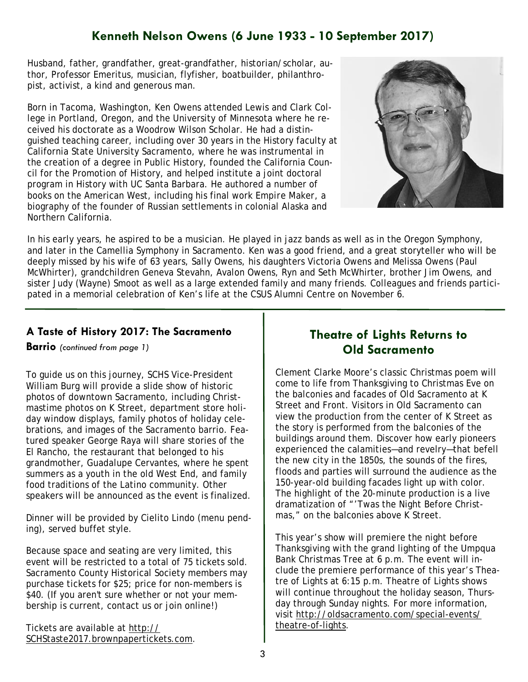## **Kenneth Nelson Owens (6 June 1933 - 10 September 2017)**

Husband, father, grandfather, great-grandfather, historian/scholar, author, Professor Emeritus, musician, flyfisher, boatbuilder, philanthropist, activist, a kind and generous man.

Born in Tacoma, Washington, Ken Owens attended Lewis and Clark College in Portland, Oregon, and the University of Minnesota where he received his doctorate as a Woodrow Wilson Scholar. He had a distinguished teaching career, including over 30 years in the History faculty at California State University Sacramento, where he was instrumental in the creation of a degree in Public History, founded the California Council for the Promotion of History, and helped institute a joint doctoral program in History with UC Santa Barbara. He authored a number of books on the American West, including his final work *Empire Maker*, a biography of the founder of Russian settlements in colonial Alaska and Northern California.



In his early years, he aspired to be a musician. He played in jazz bands as well as in the Oregon Symphony, and later in the Camellia Symphony in Sacramento. Ken was a good friend, and a great storyteller who will be deeply missed by his wife of 63 years, Sally Owens, his daughters Victoria Owens and Melissa Owens (Paul McWhirter), grandchildren Geneva Stevahn, Avalon Owens, Ryn and Seth McWhirter, brother Jim Owens, and sister Judy (Wayne) Smoot as well as a large extended family and many friends. Colleagues and friends participated in a memorial celebration of Ken's life at the CSUS Alumni Centre on November 6.

#### **A Taste of History 2017: The Sacramento**

**Barrio** *(continued from page 1)* 

To guide us on this journey, SCHS Vice-President William Burg will provide a slide show of historic photos of downtown Sacramento, including Christmastime photos on K Street, department store holiday window displays, family photos of holiday celebrations, and images of the Sacramento barrio. Featured speaker George Raya will share stories of the El Rancho, the restaurant that belonged to his grandmother, Guadalupe Cervantes, where he spent summers as a youth in the old West End, and family food traditions of the Latino community. Other speakers will be announced as the event is finalized.

Dinner will be provided by Cielito Lindo (menu pending), served buffet style.

Because space and seating are very limited, this event will be restricted to a total of 75 tickets sold. Sacramento County Historical Society members may purchase tickets for \$25; price for non-members is \$40. (If you aren't sure whether or not your membership is current, contact us or join online!)

Tickets are available at http:// SCHStaste2017.brownpapertickets.com.

#### **Theatre of Lights Returns to Old Sacramento**

Clement Clarke Moore's classic Christmas poem will come to life from Thanksgiving to Christmas Eve on the balconies and facades of Old Sacramento at K Street and Front. Visitors in Old Sacramento can view the production from the center of K Street as the story is performed from the balconies of the buildings around them. Discover how early pioneers experienced the calamities—and revelry—that befell the new city in the 1850s, the sounds of the fires, floods and parties will surround the audience as the 150-year-old building facades light up with color. The highlight of the 20-minute production is a live dramatization of "'Twas the Night Before Christmas," on the balconies above K Street.

This year's show will premiere the night before Thanksgiving with the grand lighting of the Umpqua Bank Christmas Tree at 6 p.m. The event will include the premiere performance of this year's Theatre of Lights at 6:15 p.m. Theatre of Lights shows will continue throughout the holiday season, Thursday through Sunday nights. For more information, visit http://oldsacramento.com/special-events/ theatre-of-lights.